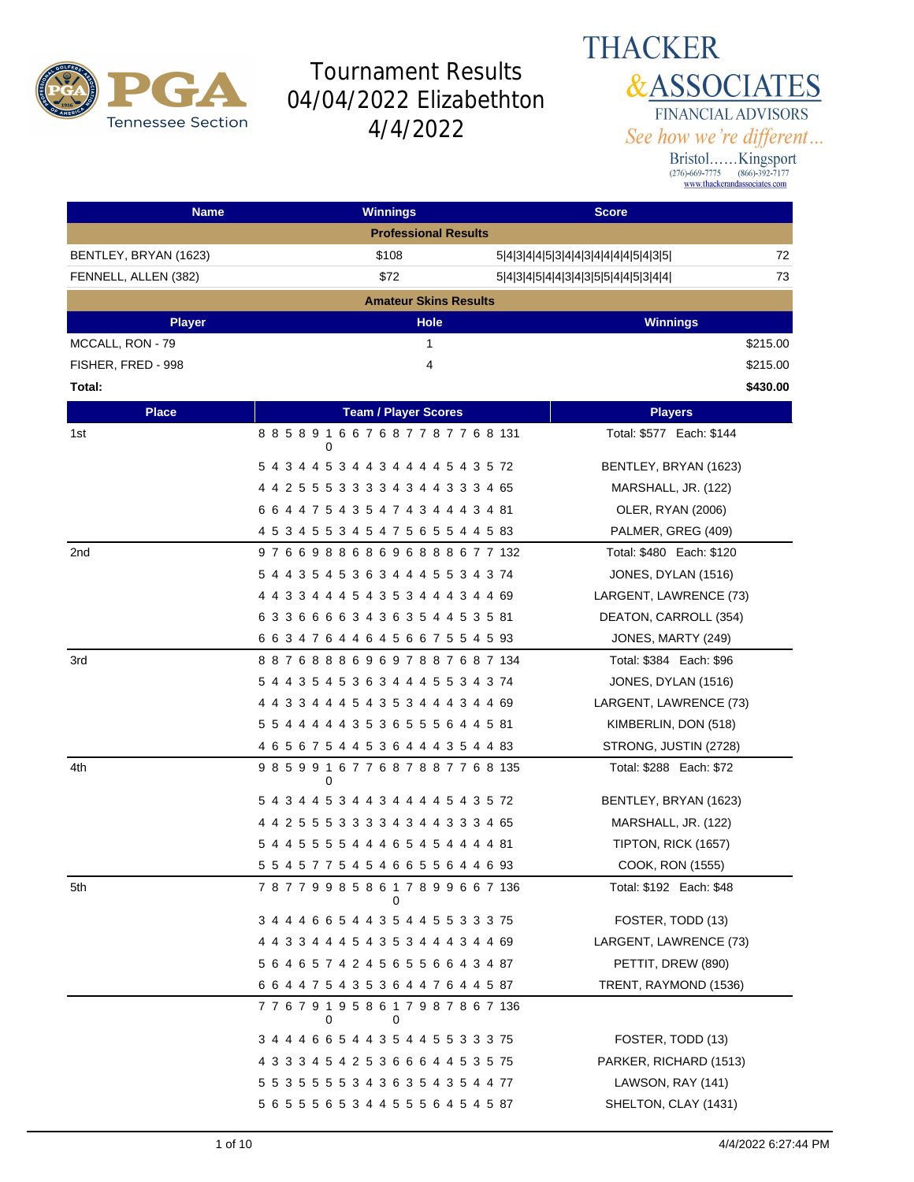

#### **THACKER &ASSOCIATES** FINANCIAL ADVISORS See how we're different...

| <b>Name</b>                 | <b>Winnings</b>                                   | <b>Score</b>                              |  |
|-----------------------------|---------------------------------------------------|-------------------------------------------|--|
| <b>Professional Results</b> |                                                   |                                           |  |
| BENTLEY, BRYAN (1623)       | \$108                                             | 72<br>5 4 3 4 4 5 3 4 4 3 4 4 4 4 5 4 3 5 |  |
| FENNELL, ALLEN (382)        | \$72                                              | 73<br>5 4 3 4 5 4 4 3 4 3 5 5 4 4 5 3 4 4 |  |
|                             | <b>Amateur Skins Results</b>                      |                                           |  |
| <b>Player</b>               | <b>Hole</b>                                       | <b>Winnings</b>                           |  |
| MCCALL, RON - 79            | 1                                                 | \$215.00                                  |  |
| FISHER, FRED - 998          | 4                                                 | \$215.00                                  |  |
| Total:                      |                                                   | \$430.00                                  |  |
| <b>Place</b>                | <b>Team / Player Scores</b>                       | <b>Players</b>                            |  |
| 1st                         | 885891667687787768131<br>0                        | Total: \$577 Each: \$144                  |  |
|                             | 5 4 3 4 4 5 3 4 4 3 4 4 4 4 5 4 3 5 72            | BENTLEY, BRYAN (1623)                     |  |
|                             | 4 4 2 5 5 5 3 3 3 3 4 3 4 4 3 3 3 4 65            | MARSHALL, JR. (122)                       |  |
|                             | 6 6 4 4 7 5 4 3 5 4 7 4 3 4 4 4 3 4 81            | OLER, RYAN (2006)                         |  |
|                             | 4 5 3 4 5 5 3 4 5 4 7 5 6 5 5 4 4 5 83            | PALMER, GREG (409)                        |  |
| 2nd                         | 976698868696888677132                             | Total: \$480 Each: \$120                  |  |
|                             | 5 4 4 3 5 4 5 3 6 3 4 4 4 5 5 3 4 3 74            | JONES, DYLAN (1516)                       |  |
|                             | 4 4 3 3 4 4 4 5 4 3 5 3 4 4 4 3 4 4 69            | LARGENT, LAWRENCE (73)                    |  |
|                             | 63366663436354453581                              | DEATON, CARROLL (354)                     |  |
|                             | 6 6 3 4 7 6 4 4 6 4 5 6 6 7 5 5 4 5 93            | JONES, MARTY (249)                        |  |
| 3rd                         | 887688869697887687134                             | Total: \$384 Each: \$96                   |  |
|                             | 5 4 4 3 5 4 5 3 6 3 4 4 4 5 5 3 4 3 74            | JONES, DYLAN (1516)                       |  |
|                             | 4 4 3 3 4 4 4 5 4 3 5 3 4 4 4 3 4 4 69            | LARGENT, LAWRENCE (73)                    |  |
|                             | 5 5 4 4 4 4 4 3 5 3 6 5 5 5 6 4 4 5 81            | KIMBERLIN, DON (518)                      |  |
|                             | 4 6 5 6 7 5 4 4 5 3 6 4 4 4 3 5 4 4 83            | STRONG, JUSTIN (2728)                     |  |
| 4th                         | 985991677687887768135<br>0                        | Total: \$288 Each: \$72                   |  |
|                             | 5 4 3 4 4 5 3 4 4 3 4 4 4 4 5 4 3 5 72            | BENTLEY, BRYAN (1623)                     |  |
|                             | 4 4 2 5 5 5 3 3 3 3 4 3 4 4 3 3 3 4 65            | MARSHALL, JR. (122)                       |  |
|                             | 5 4 4 5 5 5 5 4 4 4 6 5 4 5 4 4 4 4 81            | TIPTON, RICK (1657)                       |  |
|                             | 5 5 4 5 7 7 5 4 5 4 6 6 5 5 6 4 4 6 93            | COOK, RON (1555)                          |  |
| 5th                         | 787799858617899667136                             | Total: \$192 Each: \$48                   |  |
|                             | 3 4 4 4 6 6 5 4 4 3 5 4 4 5 5 3 3 3 75            | FOSTER, TODD (13)                         |  |
|                             | 4 4 3 3 4 4 4 5 4 3 5 3 4 4 4 3 4 4 69            | LARGENT, LAWRENCE (73)                    |  |
|                             | 5 6 4 6 5 7 4 2 4 5 6 5 5 6 6 4 3 4 87            | PETTIT, DREW (890)                        |  |
|                             | 6 6 4 4 7 5 4 3 5 3 6 4 4 7 6 4 4 5 87            | TRENT, RAYMOND (1536)                     |  |
|                             | 7 7 6 7 9 1 9 5 8 6 1 7 9 8 7 8 6 7 136<br>0<br>0 |                                           |  |
|                             | 3 4 4 4 6 6 5 4 4 3 5 4 4 5 5 3 3 3 75            | FOSTER, TODD (13)                         |  |
|                             | 4 3 3 3 4 5 4 2 5 3 6 6 6 4 4 5 3 5 75            | PARKER, RICHARD (1513)                    |  |
|                             | 5 5 3 5 5 5 5 3 4 3 6 3 5 4 3 5 4 4 77            | LAWSON, RAY (141)                         |  |
|                             | 5 6 5 5 5 6 5 3 4 4 5 5 5 6 4 5 4 5 87            | SHELTON, CLAY (1431)                      |  |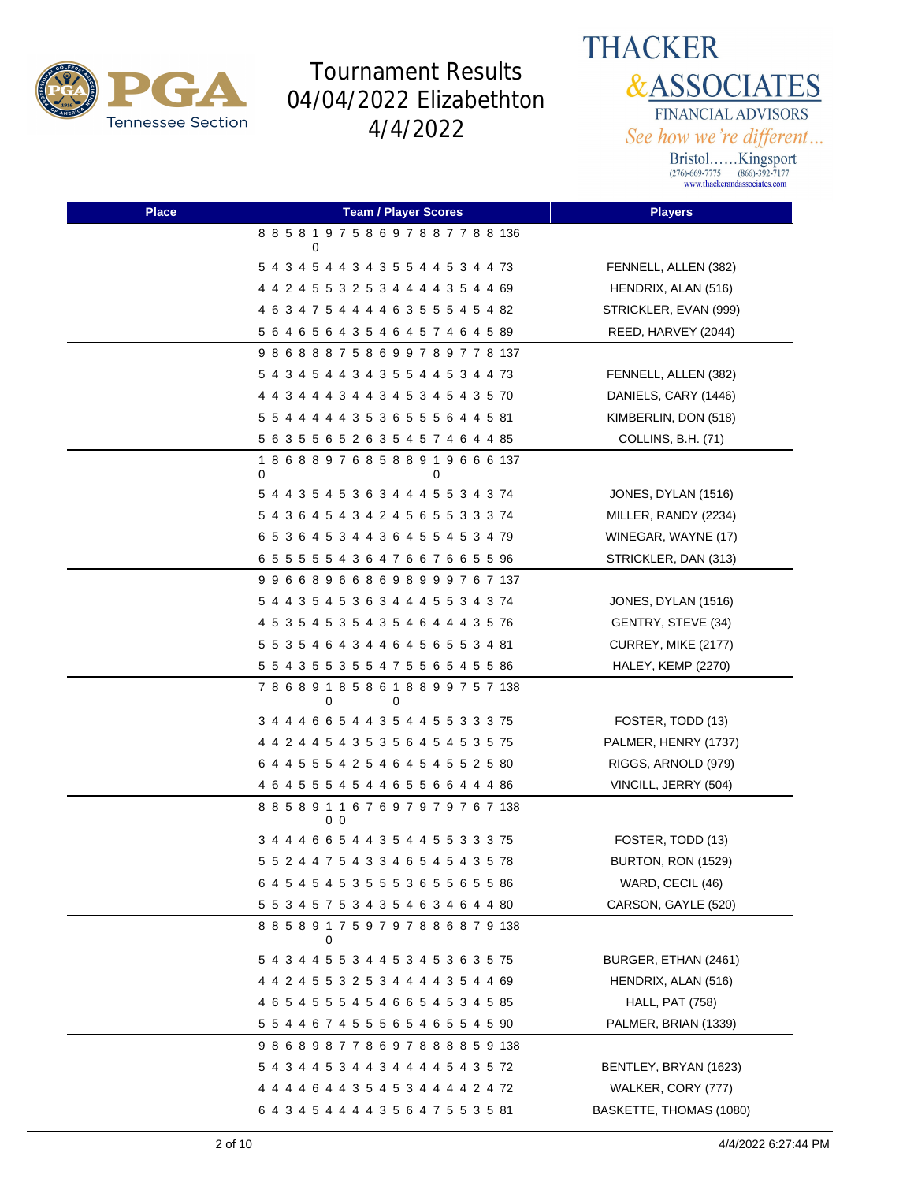

**THACKER &ASSOCIATES** FINANCIAL ADVISORS See how we're different...

| <b>Place</b> | <b>Team / Player Scores</b>                               | <b>Players</b>          |
|--------------|-----------------------------------------------------------|-------------------------|
|              | 8 8 5 8 1 9 7 5 8 6 9 7 8 8 7 7 8 8 136<br>0              |                         |
|              | 5 4 3 4 5 4 4 3 4 3 5 5 4 4 5 3 4 4 73                    | FENNELL, ALLEN (382)    |
|              | 4 4 2 4 5 5 3 2 5 3 4 4 4 4 3 5 4 4 69                    | HENDRIX, ALAN (516)     |
|              | 4 6 3 4 7 5 4 4 4 4 6 3 5 5 5 4 5 4 82                    | STRICKLER, EVAN (999)   |
|              | 5 6 4 6 5 6 4 3 5 4 6 4 5 7 4 6 4 5 89                    | REED, HARVEY (2044)     |
|              | 986888758699789778137                                     |                         |
|              | 5 4 3 4 5 4 4 3 4 3 5 5 4 4 5 3 4 4 73                    | FENNELL, ALLEN (382)    |
|              | 4 4 3 4 4 4 3 4 4 3 4 5 3 4 5 4 3 5 70                    | DANIELS, CARY (1446)    |
|              | 5 5 4 4 4 4 4 3 5 3 6 5 5 5 6 4 4 5 81                    | KIMBERLIN, DON (518)    |
|              | 5 6 3 5 5 6 5 2 6 3 5 4 5 7 4 6 4 4 85                    | COLLINS, B.H. (71)      |
|              | 186889768588919666137<br>0<br>0                           |                         |
|              | 5 4 4 3 5 4 5 3 6 3 4 4 4 5 5 3 4 3 74                    | JONES, DYLAN (1516)     |
|              | 5 4 3 6 4 5 4 3 4 2 4 5 6 5 5 3 3 3 74                    | MILLER, RANDY (2234)    |
|              | 6 5 3 6 4 5 3 4 4 3 6 4 5 5 4 5 3 4 79                    | WINEGAR, WAYNE (17)     |
|              | 6 5 5 5 5 5 4 3 6 4 7 6 6 7 6 6 5 5 96                    | STRICKLER, DAN (313)    |
|              | 996689668698999767137                                     |                         |
|              | 5 4 4 3 5 4 5 3 6 3 4 4 4 5 5 3 4 3 74                    | JONES, DYLAN (1516)     |
|              | 4 5 3 5 4 5 3 5 4 3 5 4 6 4 4 4 3 5 76                    | GENTRY, STEVE (34)      |
|              | 5 5 3 5 4 6 4 3 4 4 6 4 5 6 5 5 3 4 81                    | CURREY, MIKE (2177)     |
|              | 5 5 4 3 5 5 3 5 5 4 7 5 5 6 5 4 5 5 86                    | HALEY, KEMP (2270)      |
|              | 786891858618899757138<br>0<br>0                           |                         |
|              | 3 4 4 4 6 6 5 4 4 3 5 4 4 5 5 3 3 3 75                    | FOSTER, TODD (13)       |
|              | 4 4 2 4 4 5 4 3 5 3 5 6 4 5 4 5 3 5 75                    | PALMER, HENRY (1737)    |
|              | 6 4 4 5 5 5 4 2 5 4 6 4 5 4 5 5 2 5 80                    | RIGGS, ARNOLD (979)     |
|              | 4 6 4 5 5 5 4 5 4 4 6 5 5 6 6 4 4 4 86                    | VINCILL, JERRY (504)    |
|              | 8 8 5 8 9 1 1 6 7 6 9 7 9 7 9 7 6 7 138<br>0 <sub>0</sub> |                         |
|              | 3 4 4 4 6 6 5 4 4 3 5 4 4 5 5 3 3 3 75                    | FOSTER, TODD (13)       |
|              | 5 5 2 4 4 7 5 4 3 3 4 6 5 4 5 4 3 5 78                    | BURTON, RON (1529)      |
|              | 6 4 5 4 5 4 5 3 5 5 5 3 6 5 5 6 5 5 86                    | WARD, CECIL (46)        |
|              | 5 5 3 4 5 7 5 3 4 3 5 4 6 3 4 6 4 4 80                    | CARSON, GAYLE (520)     |
|              | 8 8 5 8 9 1 7 5 9 7 9 7 8 8 6 8 7 9 138                   |                         |
|              | 5 4 3 4 4 5 5 3 4 4 5 3 4 5 3 6 3 5 75                    | BURGER, ETHAN (2461)    |
|              | 4 4 2 4 5 5 3 2 5 3 4 4 4 4 3 5 4 4 69                    | HENDRIX, ALAN (516)     |
|              | 4 6 5 4 5 5 5 4 5 4 6 6 5 4 5 3 4 5 85                    | <b>HALL, PAT (758)</b>  |
|              | 5 5 4 4 6 7 4 5 5 5 6 5 4 6 5 5 4 5 90                    | PALMER, BRIAN (1339)    |
|              | 986898778697888859138                                     |                         |
|              | 5 4 3 4 4 5 3 4 4 3 4 4 4 4 5 4 3 5 72                    | BENTLEY, BRYAN (1623)   |
|              | 4 4 4 4 6 4 4 3 5 4 5 3 4 4 4 4 2 4 72                    | WALKER, CORY (777)      |
|              | 6 4 3 4 5 4 4 4 4 3 5 6 4 7 5 5 3 5 81                    | BASKETTE, THOMAS (1080) |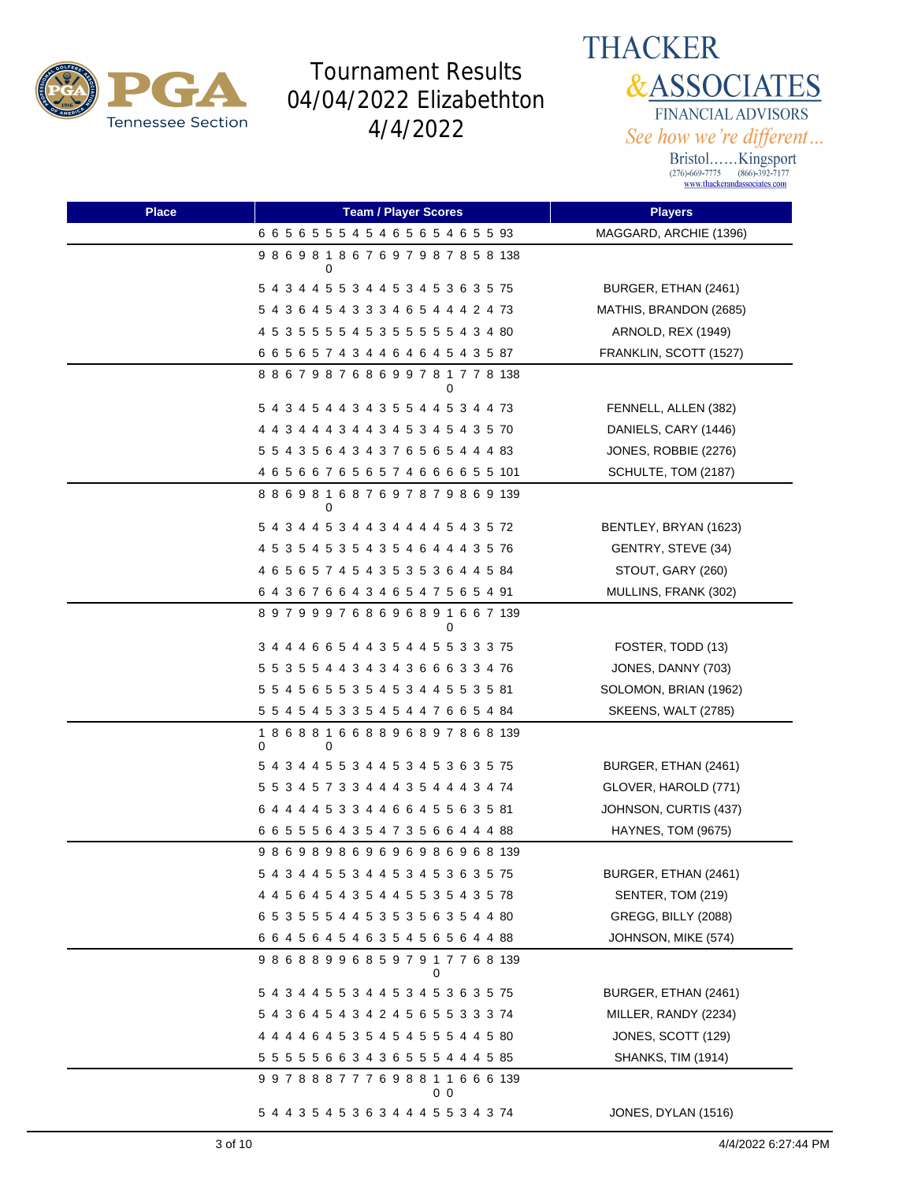

**THACKER &ASSOCIATES** FINANCIAL ADVISORS See how we're different...

| <b>Place</b> | <b>Team / Player Scores</b>             | <b>Players</b>             |
|--------------|-----------------------------------------|----------------------------|
|              | 6 6 5 6 5 5 5 4 5 4 6 5 6 5 4 6 5 5 93  | MAGGARD, ARCHIE (1396)     |
|              | 986981867697987858138                   |                            |
|              | 5 4 3 4 4 5 5 3 4 4 5 3 4 5 3 6 3 5 75  | BURGER, ETHAN (2461)       |
|              | 5 4 3 6 4 5 4 3 3 3 4 6 5 4 4 4 2 4 73  | MATHIS, BRANDON (2685)     |
|              | 4 5 3 5 5 5 5 4 5 3 5 5 5 5 5 4 3 4 80  | ARNOLD, REX (1949)         |
|              | 6 6 5 6 5 7 4 3 4 4 6 4 6 4 5 4 3 5 87  | FRANKLIN, SCOTT (1527)     |
|              | 886798768699781778138<br>0              |                            |
|              | 5 4 3 4 5 4 4 3 4 3 5 5 4 4 5 3 4 4 73  | FENNELL, ALLEN (382)       |
|              | 4 4 3 4 4 4 3 4 4 3 4 5 3 4 5 4 3 5 70  | DANIELS, CARY (1446)       |
|              | 5 5 4 3 5 6 4 3 4 3 7 6 5 6 5 4 4 4 83  | JONES, ROBBIE (2276)       |
|              | 4 6 5 6 6 7 6 5 6 5 7 4 6 6 6 6 5 5 101 | SCHULTE, TOM (2187)        |
|              | 886981687697879869139<br>0              |                            |
|              | 5 4 3 4 4 5 3 4 4 3 4 4 4 4 5 4 3 5 72  | BENTLEY, BRYAN (1623)      |
|              | 4 5 3 5 4 5 3 5 4 3 5 4 6 4 4 4 3 5 76  | GENTRY, STEVE (34)         |
|              | 4 6 5 6 5 7 4 5 4 3 5 3 5 3 6 4 4 5 84  | STOUT, GARY (260)          |
|              | 6 4 3 6 7 6 6 4 3 4 6 5 4 7 5 6 5 4 91  | MULLINS, FRANK (302)       |
|              | 897999768696891667139<br>0              |                            |
|              | 3 4 4 4 6 6 5 4 4 3 5 4 4 5 5 3 3 3 75  | FOSTER, TODD (13)          |
|              | 5 5 3 5 5 4 4 3 4 3 4 3 6 6 6 3 3 4 76  | JONES, DANNY (703)         |
|              | 5 5 4 5 6 5 5 3 5 4 5 3 4 4 5 5 3 5 81  | SOLOMON, BRIAN (1962)      |
|              | 5 5 4 5 4 5 3 3 5 4 5 4 4 7 6 6 5 4 84  | <b>SKEENS, WALT (2785)</b> |
|              | 186881668896897868139<br>0<br>0         |                            |
|              | 5 4 3 4 4 5 5 3 4 4 5 3 4 5 3 6 3 5 75  | BURGER, ETHAN (2461)       |
|              | 5 5 3 4 5 7 3 3 4 4 4 3 5 4 4 4 3 4 74  | GLOVER, HAROLD (771)       |
|              | 6 4 4 4 4 5 3 3 4 4 6 6 4 5 5 6 3 5 81  | JOHNSON, CURTIS (437)      |
|              | 6 6 5 5 5 6 4 3 5 4 7 3 5 6 6 4 4 4 88  | HAYNES, TOM (9675)         |
|              | 986989869696986968139                   |                            |
|              | 5 4 3 4 4 5 5 3 4 4 5 3 4 5 3 6 3 5 75  | BURGER, ETHAN (2461)       |
|              | 4 4 5 6 4 5 4 3 5 4 4 5 5 3 5 4 3 5 78  | SENTER, TOM (219)          |
|              | 6 5 3 5 5 5 4 4 5 3 5 3 5 6 3 5 4 4 80  | GREGG, BILLY (2088)        |
|              | 6 6 4 5 6 4 5 4 6 3 5 4 5 6 5 6 4 4 88  | JOHNSON, MIKE (574)        |
|              | 986889968597917768139                   |                            |
|              | 5 4 3 4 4 5 5 3 4 4 5 3 4 5 3 6 3 5 75  | BURGER, ETHAN (2461)       |
|              | 5 4 3 6 4 5 4 3 4 2 4 5 6 5 5 3 3 3 74  | MILLER, RANDY (2234)       |
|              | 4 4 4 4 6 4 5 3 5 4 5 4 5 5 5 4 4 5 80  | JONES, SCOTT (129)         |
|              | 5 5 5 5 5 6 6 3 4 3 6 5 5 5 4 4 4 5 85  | SHANKS, TIM (1914)         |
|              | 997888777698811666139<br>0 <sub>0</sub> |                            |
|              | 5 4 4 3 5 4 5 3 6 3 4 4 4 5 5 3 4 3 74  | JONES, DYLAN (1516)        |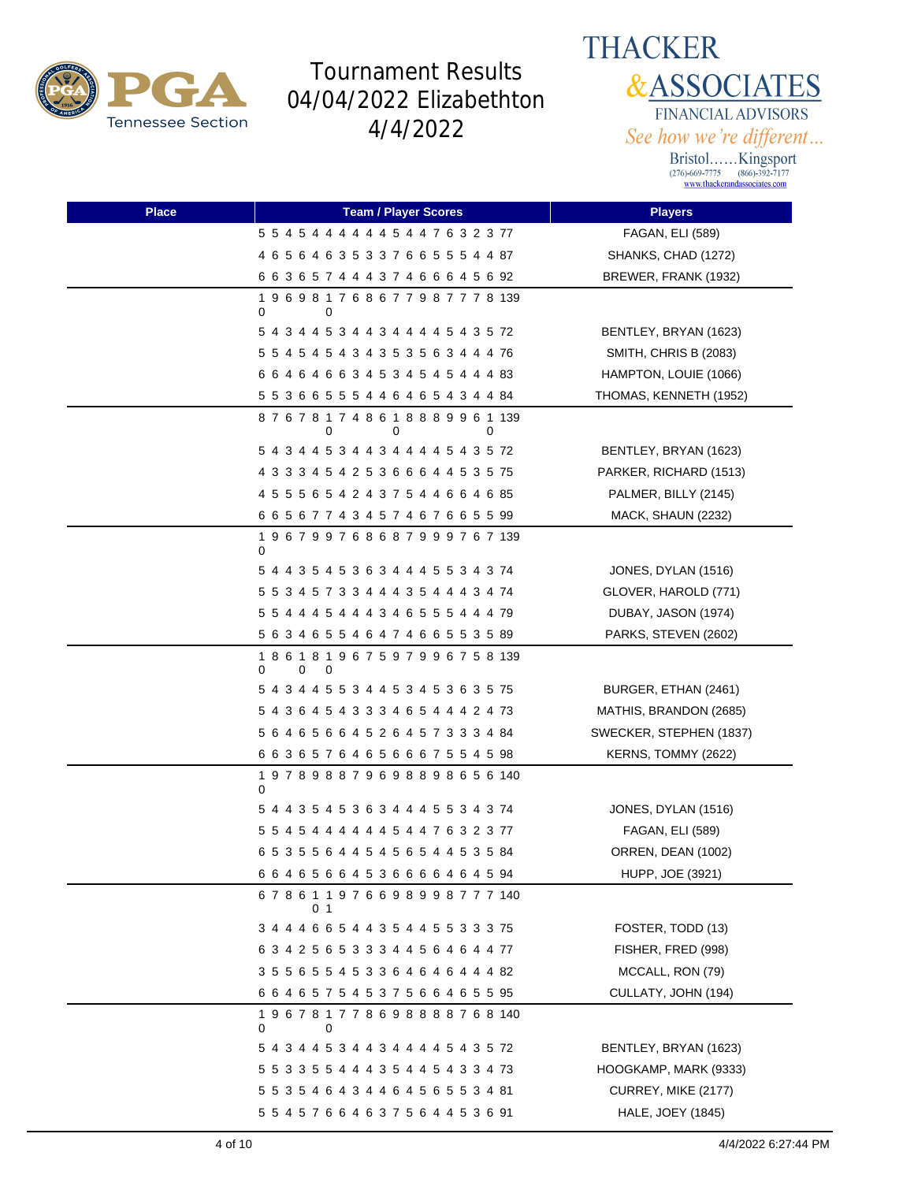



See how we're different... Bristol......Kingsport<br>
(276)-669-7775 (866)-392-7177<br>
www.thackerandassociates.com

| <b>Place</b> | <b>Team / Player Scores</b>                            | <b>Players</b>          |
|--------------|--------------------------------------------------------|-------------------------|
|              | 5 5 4 5 4 4 4 4 4 4 5 4 4 7 6 3 2 3 77                 | <b>FAGAN, ELI (589)</b> |
|              | 4 6 5 6 4 6 3 5 3 3 7 6 6 5 5 5 4 4 87                 | SHANKS, CHAD (1272)     |
|              | 6 6 3 6 5 7 4 4 4 3 7 4 6 6 6 4 5 6 92                 | BREWER, FRANK (1932)    |
|              | 1 9 6 9 8 1 7 6 8 6 7 7 9 8 7 7 7 8 139<br>0<br>0      |                         |
|              | 5 4 3 4 4 5 3 4 4 3 4 4 4 4 5 4 3 5 72                 | BENTLEY, BRYAN (1623)   |
|              | 5 5 4 5 4 5 4 3 4 3 5 3 5 6 3 4 4 4 76                 | SMITH, CHRIS B (2083)   |
|              | 6 6 4 6 4 6 6 3 4 5 3 4 5 4 5 4 4 4 83                 | HAMPTON, LOUIE (1066)   |
|              | 5 5 3 6 6 5 5 5 4 4 6 4 6 5 4 3 4 4 84                 | THOMAS, KENNETH (1952)  |
|              | 8 7 6 7 8 1 7 4 8 6 1 8 8 8 9 9 6 1 139<br>0<br>0<br>0 |                         |
|              | 5 4 3 4 4 5 3 4 4 3 4 4 4 4 5 4 3 5 72                 | BENTLEY, BRYAN (1623)   |
|              | 4 3 3 3 4 5 4 2 5 3 6 6 6 4 4 5 3 5 75                 | PARKER, RICHARD (1513)  |
|              | 4 5 5 5 6 5 4 2 4 3 7 5 4 4 6 6 4 6 85                 | PALMER, BILLY (2145)    |
|              | 6 6 5 6 7 7 4 3 4 5 7 4 6 7 6 6 5 5 99                 | MACK, SHAUN (2232)      |
|              | 196799768687999767139<br>0                             |                         |
|              | 5 4 4 3 5 4 5 3 6 3 4 4 4 5 5 3 4 3 74                 | JONES, DYLAN (1516)     |
|              | 5 5 3 4 5 7 3 3 4 4 4 3 5 4 4 4 3 4 74                 | GLOVER, HAROLD (771)    |
|              | 5 5 4 4 4 5 4 4 4 3 4 6 5 5 5 4 4 4 79                 | DUBAY, JASON (1974)     |
|              | 5 6 3 4 6 5 5 4 6 4 7 4 6 6 5 5 3 5 89                 | PARKS, STEVEN (2602)    |
|              | 1 8 6 1 8 1 9 6 7 5 9 7 9 9 6 7 5 8 139<br>0<br>0<br>0 |                         |
|              | 5 4 3 4 4 5 5 3 4 4 5 3 4 5 3 6 3 5 75                 | BURGER, ETHAN (2461)    |
|              | 5 4 3 6 4 5 4 3 3 3 4 6 5 4 4 4 2 4 73                 | MATHIS, BRANDON (2685)  |
|              | 5 6 4 6 5 6 6 4 5 2 6 4 5 7 3 3 3 4 84                 | SWECKER, STEPHEN (1837) |
|              | 66365764656667554598                                   | KERNS, TOMMY (2622)     |
|              | 197898879698898656140<br>0                             |                         |
|              | 5 4 4 3 5 4 5 3 6 3 4 4 4 5 5 3 4 3 74                 | JONES, DYLAN (1516)     |
|              | 5 5 4 5 4 4 4 4 4 4 5 4 4 7 6 3 2 3 77                 | FAGAN, ELI (589)        |
|              | 6 5 3 5 5 6 4 4 5 4 5 6 5 4 4 5 3 5 84                 | ORREN, DEAN (1002)      |
|              | 66465664536666464594                                   | HUPP, JOE (3921)        |
|              | 678611976698998777140<br>0 <sub>1</sub>                |                         |
|              | 3 4 4 4 6 6 5 4 4 3 5 4 4 5 5 3 3 3 75                 | FOSTER, TODD (13)       |
|              | 6 3 4 2 5 6 5 3 3 3 4 4 5 6 4 6 4 4 77                 | FISHER, FRED (998)      |
|              | 3 5 5 6 5 5 4 5 3 3 6 4 6 4 6 4 4 4 82                 | MCCALL, RON (79)        |
|              | 6 6 4 6 5 7 5 4 5 3 7 5 6 6 4 6 5 5 95                 | CULLATY, JOHN (194)     |
|              | 196781778698888768140<br>0<br>0                        |                         |
|              | 5 4 3 4 4 5 3 4 4 3 4 4 4 4 5 4 3 5 72                 | BENTLEY, BRYAN (1623)   |
|              | 5 5 3 3 5 5 4 4 4 3 5 4 4 5 4 3 3 4 73                 | HOOGKAMP, MARK (9333)   |
|              | 5 5 3 5 4 6 4 3 4 4 6 4 5 6 5 5 3 4 81                 | CURREY, MIKE (2177)     |
|              | 5 5 4 5 7 6 6 4 6 3 7 5 6 4 4 5 3 6 91                 | HALE, JOEY (1845)       |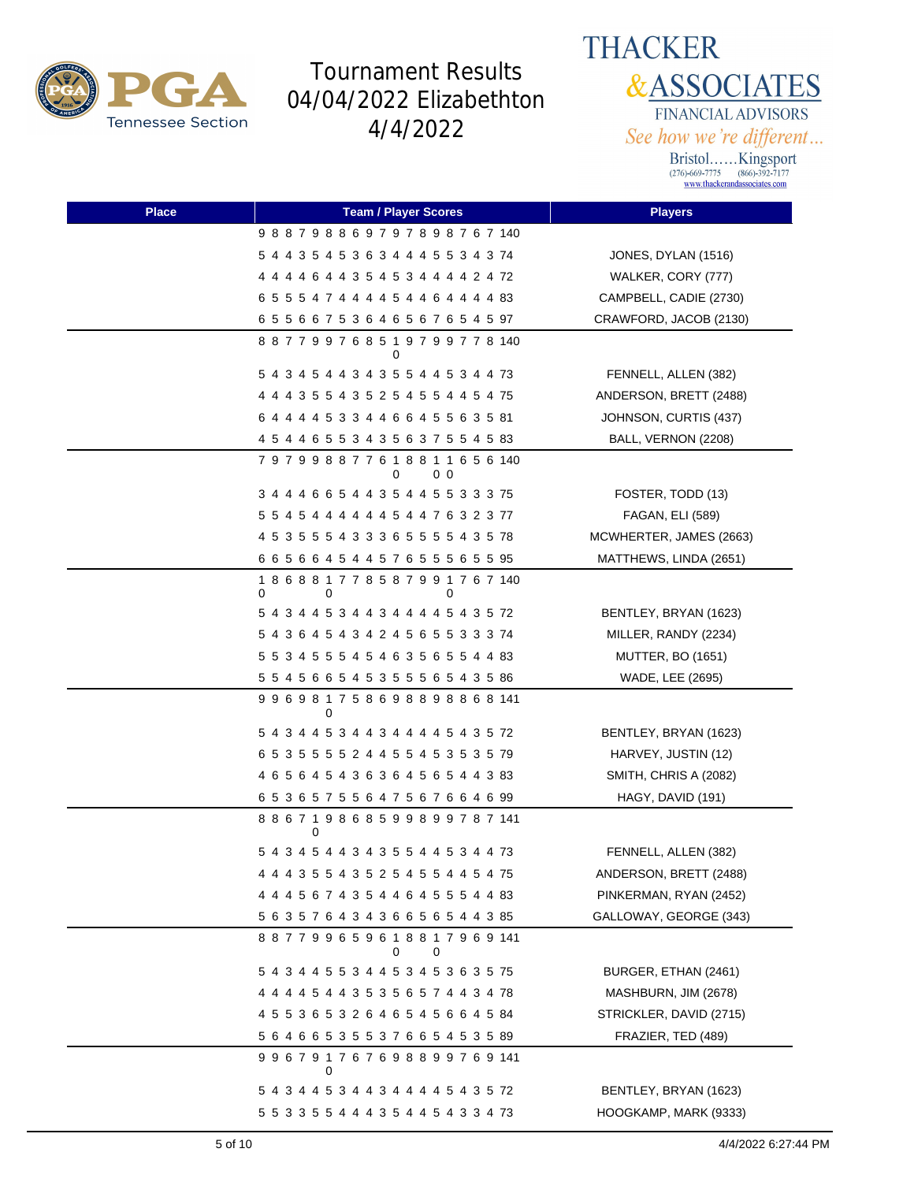

**THACKER &ASSOCIATES** FINANCIAL ADVISORS See how we're different...

| <b>Place</b> | <b>Team / Player Scores</b>                                    | <b>Players</b>           |
|--------------|----------------------------------------------------------------|--------------------------|
|              | 988798869797898767140                                          |                          |
|              | 5 4 4 3 5 4 5 3 6 3 4 4 4 5 5 3 4 3 74                         | JONES, DYLAN (1516)      |
|              | 4 4 4 4 6 4 4 3 5 4 5 3 4 4 4 4 2 4 72                         | WALKER, CORY (777)       |
|              | 6 5 5 5 4 7 4 4 4 4 5 4 4 6 4 4 4 4 83                         | CAMPBELL, CADIE (2730)   |
|              | 6 5 5 6 6 7 5 3 6 4 6 5 6 7 6 5 4 5 97                         | CRAWFORD, JACOB (2130)   |
|              | 887799768519799778140                                          |                          |
|              | 5 4 3 4 5 4 4 3 4 3 5 5 4 4 5 3 4 4 73                         | FENNELL, ALLEN (382)     |
|              | 4 4 4 3 5 5 4 3 5 2 5 4 5 5 4 4 5 4 75                         | ANDERSON, BRETT (2488)   |
|              | 6 4 4 4 4 5 3 3 4 4 6 6 4 5 5 6 3 5 81                         | JOHNSON, CURTIS (437)    |
|              | 4 5 4 4 6 5 5 3 4 3 5 6 3 7 5 5 4 5 83                         | BALL, VERNON (2208)      |
|              | 7 9 7 9 9 8 8 7 7 6 1 8 8 1 1 6 5 6 140<br>0 <sub>0</sub><br>0 |                          |
|              | 3 4 4 4 6 6 5 4 4 3 5 4 4 5 5 3 3 3 75                         | FOSTER, TODD (13)        |
|              | 5 5 4 5 4 4 4 4 4 4 5 4 4 7 6 3 2 3 77                         | FAGAN, ELI (589)         |
|              | 4 5 3 5 5 5 4 3 3 3 6 5 5 5 5 4 3 5 78                         | MCWHERTER, JAMES (2663)  |
|              | 6 6 5 6 6 4 5 4 4 5 7 6 5 5 5 6 5 5 95                         | MATTHEWS, LINDA (2651)   |
|              | 186881778587991767140<br>0<br>0<br>0                           |                          |
|              | 5 4 3 4 4 5 3 4 4 3 4 4 4 4 5 4 3 5 72                         | BENTLEY, BRYAN (1623)    |
|              | 5 4 3 6 4 5 4 3 4 2 4 5 6 5 5 3 3 3 74                         | MILLER, RANDY (2234)     |
|              | 5 5 3 4 5 5 5 4 5 4 6 3 5 6 5 5 4 4 83                         | <b>MUTTER, BO (1651)</b> |
|              | 5 5 4 5 6 6 5 4 5 3 5 5 5 6 5 4 3 5 86                         | WADE, LEE (2695)         |
|              | 996981758698898868141<br>0                                     |                          |
|              | 5 4 3 4 4 5 3 4 4 3 4 4 4 4 5 4 3 5 72                         | BENTLEY, BRYAN (1623)    |
|              | 6 5 3 5 5 5 5 2 4 4 5 5 4 5 3 5 3 5 79                         | HARVEY, JUSTIN (12)      |
|              | 4 6 5 6 4 5 4 3 6 3 6 4 5 6 5 4 4 3 83                         | SMITH, CHRIS A (2082)    |
|              | 6 5 3 6 5 7 5 5 6 4 7 5 6 7 6 6 4 6 99                         | HAGY, DAVID (191)        |
|              | 886719868599899787141<br>0                                     |                          |
|              | 5 4 3 4 5 4 4 3 4 3 5 5 4 4 5 3 4 4 73                         | FENNELL, ALLEN (382)     |
|              | 4 4 4 3 5 5 4 3 5 2 5 4 5 5 4 4 5 4 75                         | ANDERSON, BRETT (2488)   |
|              | 4 4 4 5 6 7 4 3 5 4 4 6 4 5 5 5 4 4 83                         | PINKERMAN, RYAN (2452)   |
|              | 5 6 3 5 7 6 4 3 4 3 6 6 5 6 5 4 4 3 85                         | GALLOWAY, GEORGE (343)   |
|              | 887799659618817969141<br>0<br>0                                |                          |
|              | 5 4 3 4 4 5 5 3 4 4 5 3 4 5 3 6 3 5 75                         | BURGER, ETHAN (2461)     |
|              | 4 4 4 4 5 4 4 3 5 3 5 6 5 7 4 4 3 4 78                         | MASHBURN, JIM (2678)     |
|              | 4 5 5 3 6 5 3 2 6 4 6 5 4 5 6 6 4 5 84                         | STRICKLER, DAVID (2715)  |
|              | 5 6 4 6 6 5 3 5 5 3 7 6 6 5 4 5 3 5 89                         | FRAZIER, TED (489)       |
|              | 996791767698899769141<br>0                                     |                          |
|              | 5 4 3 4 4 5 3 4 4 3 4 4 4 4 5 4 3 5 72                         | BENTLEY, BRYAN (1623)    |
|              | 5 5 3 3 5 5 4 4 4 3 5 4 4 5 4 3 3 4 73                         | HOOGKAMP, MARK (9333)    |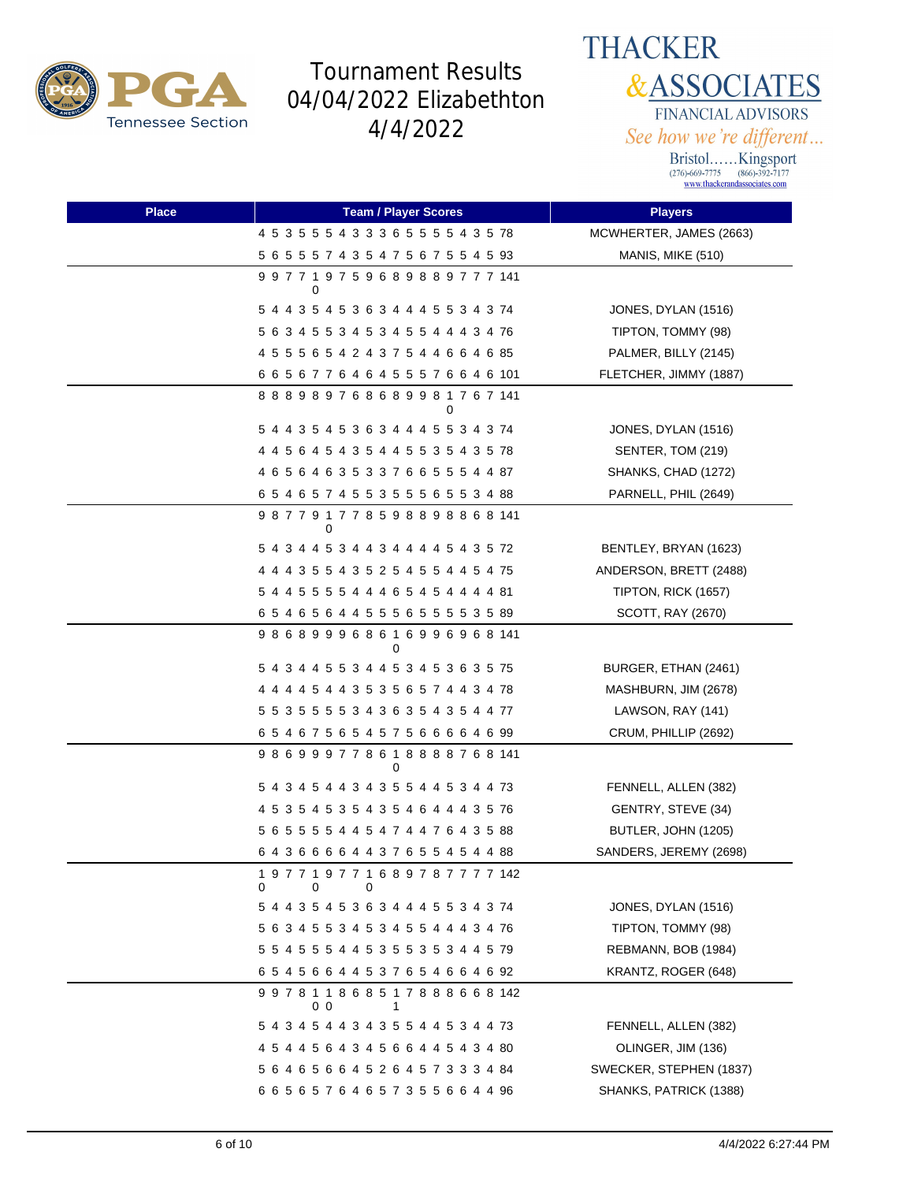

**THACKER &ASSOCIATES** FINANCIAL ADVISORS See how we're different...

| <b>Place</b> | <b>Team / Player Scores</b>                            | <b>Players</b>          |
|--------------|--------------------------------------------------------|-------------------------|
|              | 4 5 3 5 5 5 4 3 3 3 6 5 5 5 5 4 3 5 78                 | MCWHERTER, JAMES (2663) |
|              | 5 6 5 5 5 7 4 3 5 4 7 5 6 7 5 5 4 5 93                 | MANIS, MIKE (510)       |
|              | 997719759689889777141<br>0                             |                         |
|              | 5 4 4 3 5 4 5 3 6 3 4 4 4 5 5 3 4 3 74                 | JONES, DYLAN (1516)     |
|              | 5 6 3 4 5 5 3 4 5 3 4 5 5 4 4 4 3 4 76                 | TIPTON, TOMMY (98)      |
|              | 4 5 5 5 6 5 4 2 4 3 7 5 4 4 6 6 4 6 85                 | PALMER, BILLY (2145)    |
|              | 6 6 5 6 7 7 6 4 6 4 5 5 5 7 6 6 4 6 101                | FLETCHER, JIMMY (1887)  |
|              | 888989768689981767141                                  |                         |
|              | 5 4 4 3 5 4 5 3 6 3 4 4 4 5 5 3 4 3 74                 | JONES, DYLAN (1516)     |
|              | 4 4 5 6 4 5 4 3 5 4 4 5 5 3 5 4 3 5 78                 | SENTER, TOM (219)       |
|              | 4 6 5 6 4 6 3 5 3 3 7 6 6 5 5 5 4 4 87                 | SHANKS, CHAD (1272)     |
|              | 6 5 4 6 5 7 4 5 5 3 5 5 5 6 5 5 3 4 88                 | PARNELL, PHIL (2649)    |
|              | 987791778598898868141<br>0                             |                         |
|              | 5 4 3 4 4 5 3 4 4 3 4 4 4 4 5 4 3 5 72                 | BENTLEY, BRYAN (1623)   |
|              | 4 4 4 3 5 5 4 3 5 2 5 4 5 5 4 4 5 4 75                 | ANDERSON, BRETT (2488)  |
|              | 5 4 4 5 5 5 5 4 4 4 6 5 4 5 4 4 4 4 81                 | TIPTON, RICK (1657)     |
|              | 6 5 4 6 5 6 4 4 5 5 5 6 5 5 5 5 3 5 89                 | SCOTT, RAY (2670)       |
|              | 986899968616996968141<br>0                             |                         |
|              | 5 4 3 4 4 5 5 3 4 4 5 3 4 5 3 6 3 5 75                 | BURGER, ETHAN (2461)    |
|              | 4 4 4 4 5 4 4 3 5 3 5 6 5 7 4 4 3 4 78                 | MASHBURN, JIM (2678)    |
|              | 5 5 3 5 5 5 5 3 4 3 6 3 5 4 3 5 4 4 77                 | LAWSON, RAY (141)       |
|              | 6 5 4 6 7 5 6 5 4 5 7 5 6 6 6 6 4 6 99                 | CRUM, PHILLIP (2692)    |
|              | 986999778618888768141<br>0                             |                         |
|              | 5 4 3 4 5 4 4 3 4 3 5 5 4 4 5 3 4 4 73                 | FENNELL, ALLEN (382)    |
|              | 4 5 3 5 4 5 3 5 4 3 5 4 6 4 4 4 3 5 76                 | GENTRY, STEVE (34)      |
|              | 5 6 5 5 5 5 4 4 5 4 7 4 4 7 6 4 3 5 88                 | BUTLER, JOHN (1205)     |
|              | 6 4 3 6 6 6 6 4 4 3 7 6 5 5 4 5 4 4 88                 | SANDERS, JEREMY (2698)  |
|              | 1 9 7 7 1 9 7 7 1 6 8 9 7 8 7 7 7 7 142<br>0<br>0<br>0 |                         |
|              | 5 4 4 3 5 4 5 3 6 3 4 4 4 5 5 3 4 3 74                 | JONES, DYLAN (1516)     |
|              | 5 6 3 4 5 5 3 4 5 3 4 5 5 4 4 4 3 4 76                 | TIPTON, TOMMY (98)      |
|              | 5 5 4 5 5 5 4 4 5 3 5 5 3 5 3 4 4 5 79                 | REBMANN, BOB (1984)     |
|              | 6 5 4 5 6 6 4 4 5 3 7 6 5 4 6 6 4 6 92                 | KRANTZ, ROGER (648)     |
|              | 997811868517888668142<br>00<br>1                       |                         |
|              | 5 4 3 4 5 4 4 3 4 3 5 5 4 4 5 3 4 4 73                 | FENNELL, ALLEN (382)    |
|              | 4 5 4 4 5 6 4 3 4 5 6 6 4 4 5 4 3 4 80                 | OLINGER, JIM (136)      |
|              | 5 6 4 6 5 6 6 4 5 2 6 4 5 7 3 3 3 4 84                 | SWECKER, STEPHEN (1837) |
|              | 6 6 5 6 5 7 6 4 6 5 7 3 5 5 6 6 4 4 96                 | SHANKS, PATRICK (1388)  |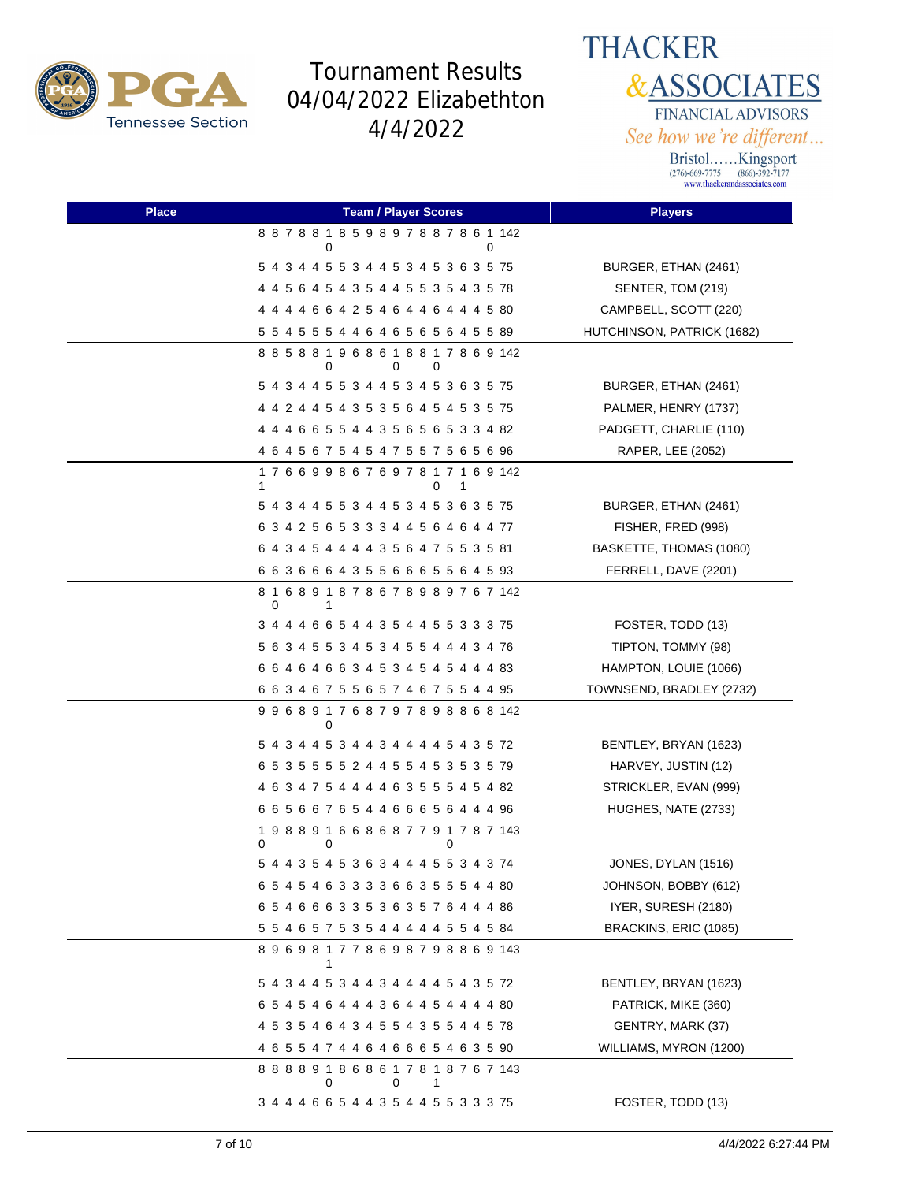

**THACKER &ASSOCIATES** FINANCIAL ADVISORS See how we're different...

| <b>Place</b> | <b>Team / Player Scores</b>                            | <b>Players</b>             |
|--------------|--------------------------------------------------------|----------------------------|
|              | 887881859897887861142<br>0<br>0                        |                            |
|              | 5 4 3 4 4 5 5 3 4 4 5 3 4 5 3 6 3 5 75                 | BURGER, ETHAN (2461)       |
|              | 4 4 5 6 4 5 4 3 5 4 4 5 5 3 5 4 3 5 78                 | SENTER, TOM (219)          |
|              | 4 4 4 4 6 6 4 2 5 4 6 4 4 6 4 4 4 5 80                 | CAMPBELL, SCOTT (220)      |
|              | 5 5 4 5 5 5 4 4 6 4 6 5 6 5 6 4 5 5 89                 | HUTCHINSON, PATRICK (1682) |
|              | 8 8 5 8 8 1 9 6 8 6 1 8 8 1 7 8 6 9 142<br>0<br>0<br>0 |                            |
|              | 5 4 3 4 4 5 5 3 4 4 5 3 4 5 3 6 3 5 75                 | BURGER, ETHAN (2461)       |
|              | 4 4 2 4 4 5 4 3 5 3 5 6 4 5 4 5 3 5 75                 | PALMER, HENRY (1737)       |
|              | 4 4 4 6 6 5 5 4 4 3 5 6 5 6 5 3 3 4 82                 | PADGETT, CHARLIE (110)     |
|              | 4 6 4 5 6 7 5 4 5 4 7 5 5 7 5 6 5 6 96                 | RAPER, LEE (2052)          |
|              | 176699867697817169142<br>1<br>0<br>1                   |                            |
|              | 5 4 3 4 4 5 5 3 4 4 5 3 4 5 3 6 3 5 75                 | BURGER, ETHAN (2461)       |
|              | 6 3 4 2 5 6 5 3 3 3 4 4 5 6 4 6 4 4 77                 | FISHER, FRED (998)         |
|              | 6 4 3 4 5 4 4 4 4 3 5 6 4 7 5 5 3 5 81                 | BASKETTE, THOMAS (1080)    |
|              | 6 6 3 6 6 6 4 3 5 5 6 6 6 5 5 6 4 5 93                 | FERRELL, DAVE (2201)       |
|              | 8 1 6 8 9 1 8 7 8 6 7 8 9 8 9 7 6 7 142<br>0<br>-1     |                            |
|              | 3 4 4 4 6 6 5 4 4 3 5 4 4 5 5 3 3 3 75                 | FOSTER, TODD (13)          |
|              | 5 6 3 4 5 5 3 4 5 3 4 5 5 4 4 4 3 4 76                 | TIPTON, TOMMY (98)         |
|              | 6 6 4 6 4 6 6 3 4 5 3 4 5 4 5 4 4 4 83                 | HAMPTON, LOUIE (1066)      |
|              | 6 6 3 4 6 7 5 5 6 5 7 4 6 7 5 5 4 4 95                 | TOWNSEND, BRADLEY (2732)   |
|              | 996891768797898868142<br>0                             |                            |
|              | 5 4 3 4 4 5 3 4 4 3 4 4 4 4 5 4 3 5 72                 | BENTLEY, BRYAN (1623)      |
|              | 6 5 3 5 5 5 5 2 4 4 5 5 4 5 3 5 3 5 79                 | HARVEY, JUSTIN (12)        |
|              | 4 6 3 4 7 5 4 4 4 4 6 3 5 5 5 4 5 4 82                 | STRICKLER, EVAN (999)      |
|              | 66566765446665644496                                   | HUGHES, NATE (2733)        |
|              | 198891668687791787143<br>0<br>0<br>0                   |                            |
|              | 5 4 4 3 5 4 5 3 6 3 4 4 4 5 5 3 4 3 74                 | JONES, DYLAN (1516)        |
|              | 6 5 4 5 4 6 3 3 3 3 6 6 3 5 5 5 4 4 80                 | JOHNSON, BOBBY (612)       |
|              | 6 5 4 6 6 6 3 3 5 3 6 3 5 7 6 4 4 4 86                 | IYER, SURESH (2180)        |
|              | 5 5 4 6 5 7 5 3 5 4 4 4 4 4 5 5 4 5 84                 | BRACKINS, ERIC (1085)      |
|              | 896981778698798869143<br>1                             |                            |
|              | 5 4 3 4 4 5 3 4 4 3 4 4 4 4 5 4 3 5 72                 | BENTLEY, BRYAN (1623)      |
|              | 6 5 4 5 4 6 4 4 4 3 6 4 4 5 4 4 4 4 80                 | PATRICK, MIKE (360)        |
|              | 4 5 3 5 4 6 4 3 4 5 5 4 3 5 5 4 4 5 78                 | GENTRY, MARK (37)          |
|              | 4 6 5 5 4 7 4 4 6 4 6 6 6 5 4 6 3 5 90                 | WILLIAMS, MYRON (1200)     |
|              | 8 8 8 8 9 1 8 6 8 6 1 7 8 1 8 7 6 7 143<br>0<br>0<br>1 |                            |
|              | 3 4 4 4 6 6 5 4 4 3 5 4 4 5 5 3 3 3 75                 | FOSTER, TODD (13)          |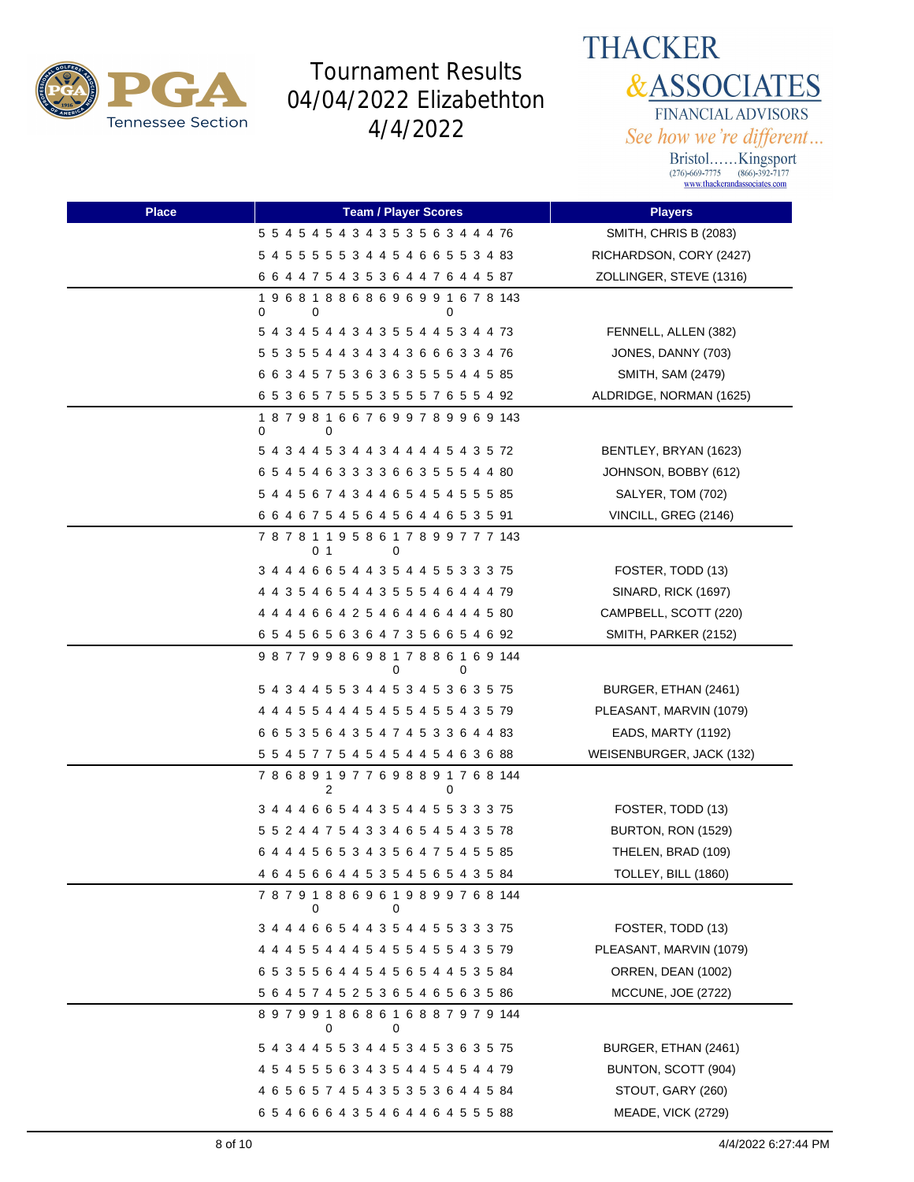



| <b>Place</b> | <b>Team / Player Scores</b>            | <b>Players</b>            |
|--------------|----------------------------------------|---------------------------|
|              | 5 5 4 5 4 5 4 3 4 3 5 3 5 6 3 4 4 4 76 | SMITH, CHRIS B (2083)     |
|              | 5 4 5 5 5 5 5 3 4 4 5 4 6 6 5 5 3 4 83 | RICHARDSON, CORY (2427)   |
|              | 6 6 4 4 7 5 4 3 5 3 6 4 4 7 6 4 4 5 87 | ZOLLINGER, STEVE (1316)   |
|              | 196818868696991678143<br>0<br>0<br>0   |                           |
|              | 5 4 3 4 5 4 4 3 4 3 5 5 4 4 5 3 4 4 73 | FENNELL, ALLEN (382)      |
|              | 5 5 3 5 5 4 4 3 4 3 4 3 6 6 6 3 3 4 76 | JONES, DANNY (703)        |
|              | 6 6 3 4 5 7 5 3 6 3 6 3 5 5 5 4 4 5 85 | SMITH, SAM (2479)         |
|              | 6 5 3 6 5 7 5 5 5 3 5 5 5 7 6 5 5 4 92 | ALDRIDGE, NORMAN (1625)   |
|              | 187981667699789969143<br>0<br>0        |                           |
|              | 5 4 3 4 4 5 3 4 4 3 4 4 4 4 5 4 3 5 72 | BENTLEY, BRYAN (1623)     |
|              | 6 5 4 5 4 6 3 3 3 3 6 6 3 5 5 5 4 4 80 | JOHNSON, BOBBY (612)      |
|              | 5 4 4 5 6 7 4 3 4 4 6 5 4 5 4 5 5 5 85 | SALYER, TOM (702)         |
|              | 6 6 4 6 7 5 4 5 6 4 5 6 4 4 6 5 3 5 91 | VINCILL, GREG (2146)      |
|              | 787811958617899777143<br>01<br>0       |                           |
|              | 3 4 4 4 6 6 5 4 4 3 5 4 4 5 5 3 3 3 75 | FOSTER, TODD (13)         |
|              | 4 4 3 5 4 6 5 4 4 3 5 5 5 4 6 4 4 4 79 | SINARD, RICK (1697)       |
|              | 4 4 4 4 6 6 4 2 5 4 6 4 4 6 4 4 4 5 80 | CAMPBELL, SCOTT (220)     |
|              | 6 5 4 5 6 5 6 3 6 4 7 3 5 6 6 5 4 6 92 | SMITH, PARKER (2152)      |
|              | 987799869817886169144<br>0<br>0        |                           |
|              | 5 4 3 4 4 5 5 3 4 4 5 3 4 5 3 6 3 5 75 | BURGER, ETHAN (2461)      |
|              | 4 4 4 5 5 4 4 4 5 4 5 5 4 5 5 4 3 5 79 | PLEASANT, MARVIN (1079)   |
|              | 6 6 5 3 5 6 4 3 5 4 7 4 5 3 3 6 4 4 83 | EADS, MARTY (1192)        |
|              | 5 5 4 5 7 7 5 4 5 4 5 4 4 5 4 6 3 6 88 | WEISENBURGER, JACK (132)  |
|              | 786891977698891768144<br>2<br>0        |                           |
|              | 3 4 4 4 6 6 5 4 4 3 5 4 4 5 5 3 3 3 75 | FOSTER, TODD (13)         |
|              | 5 5 2 4 4 7 5 4 3 3 4 6 5 4 5 4 3 5 78 | <b>BURTON, RON (1529)</b> |
|              | 6 4 4 4 5 6 5 3 4 3 5 6 4 7 5 4 5 5 85 | THELEN, BRAD (109)        |
|              | 4 6 4 5 6 6 4 4 5 3 5 4 5 6 5 4 3 5 84 | TOLLEY, BILL (1860)       |
|              | 787918869619899768144<br>0<br>0        |                           |
|              | 3 4 4 4 6 6 5 4 4 3 5 4 4 5 5 3 3 3 75 | FOSTER, TODD (13)         |
|              | 4 4 4 5 5 4 4 4 5 4 5 5 4 5 5 4 3 5 79 | PLEASANT, MARVIN (1079)   |
|              | 6 5 3 5 5 6 4 4 5 4 5 6 5 4 4 5 3 5 84 | ORREN, DEAN (1002)        |
|              | 5 6 4 5 7 4 5 2 5 3 6 5 4 6 5 6 3 5 86 | MCCUNE, JOE (2722)        |
|              | 897991868616887979144                  |                           |
|              | 5 4 3 4 4 5 5 3 4 4 5 3 4 5 3 6 3 5 75 | BURGER, ETHAN (2461)      |
|              | 4 5 4 5 5 5 6 3 4 3 5 4 4 5 4 5 4 4 79 | BUNTON, SCOTT (904)       |
|              | 4 6 5 6 5 7 4 5 4 3 5 3 5 3 6 4 4 5 84 | STOUT, GARY (260)         |
|              | 6 5 4 6 6 6 4 3 5 4 6 4 4 6 4 5 5 5 88 | MEADE, VICK (2729)        |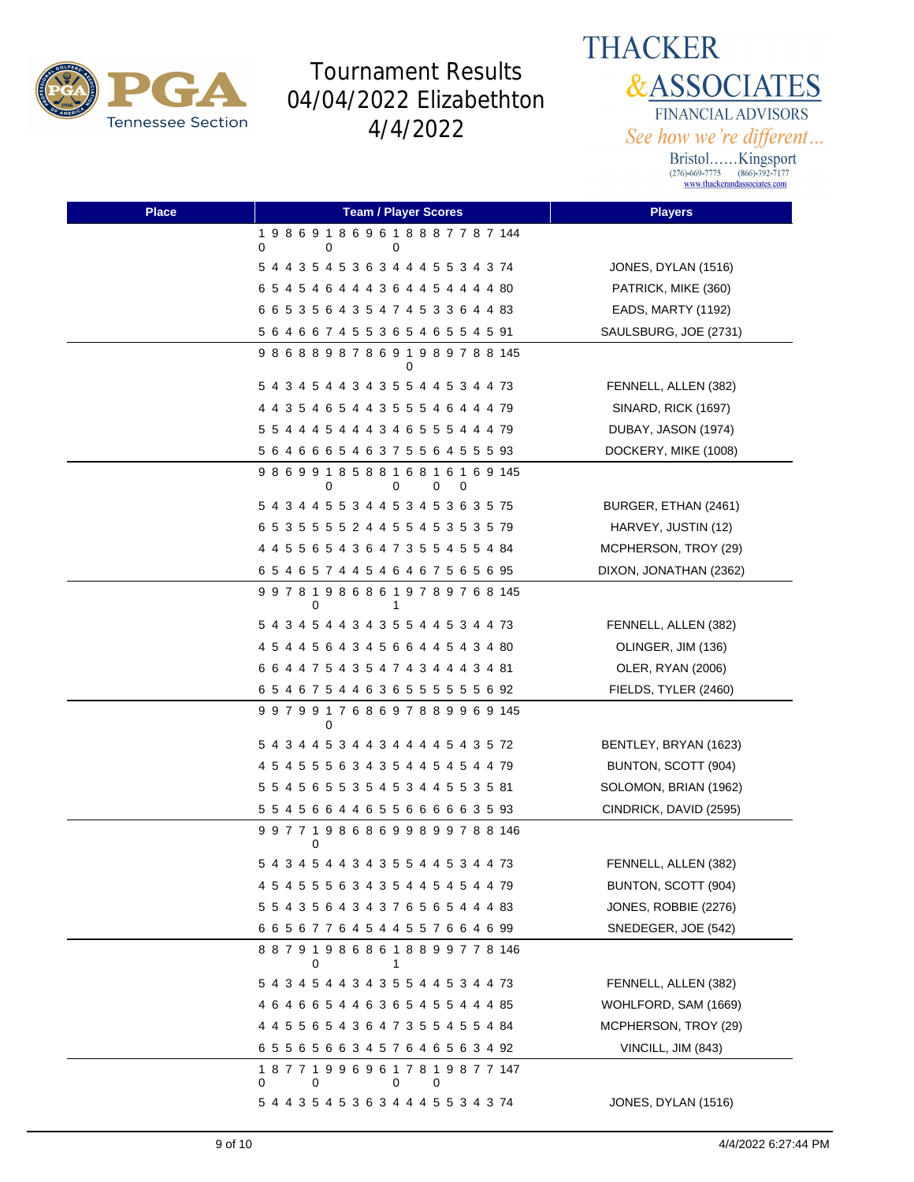

**THACKER &ASSOCIATES** FINANCIAL ADVISORS See how we're different...

| <b>Place</b> | <b>Team / Player Scores</b>                                 | <b>Players</b>         |
|--------------|-------------------------------------------------------------|------------------------|
|              | 198691869618887787144<br>0<br>0<br>0                        |                        |
|              | 5 4 4 3 5 4 5 3 6 3 4 4 4 5 5 3 4 3 74                      | JONES, DYLAN (1516)    |
|              | 6 5 4 5 4 6 4 4 4 3 6 4 4 5 4 4 4 4 80                      | PATRICK, MIKE (360)    |
|              | 6 6 5 3 5 6 4 3 5 4 7 4 5 3 3 6 4 4 83                      | EADS, MARTY (1192)     |
|              | 5 6 4 6 6 7 4 5 5 3 6 5 4 6 5 5 4 5 91                      | SAULSBURG, JOE (2731)  |
|              | 986889878691989788145<br>0                                  |                        |
|              | 5 4 3 4 5 4 4 3 4 3 5 5 4 4 5 3 4 4 73                      | FENNELL, ALLEN (382)   |
|              | 4 4 3 5 4 6 5 4 4 3 5 5 5 4 6 4 4 4 79                      | SINARD, RICK (1697)    |
|              | 5 5 4 4 4 5 4 4 4 3 4 6 5 5 5 4 4 4 79                      | DUBAY, JASON (1974)    |
|              | 5 6 4 6 6 6 5 4 6 3 7 5 5 6 4 5 5 5 93                      | DOCKERY, MIKE (1008)   |
|              | 986991858816816169145<br>0<br>0<br>0<br>0                   |                        |
|              | 5 4 3 4 4 5 5 3 4 4 5 3 4 5 3 6 3 5 75                      | BURGER, ETHAN (2461)   |
|              | 6 5 3 5 5 5 5 2 4 4 5 5 4 5 3 5 3 5 79                      | HARVEY, JUSTIN (12)    |
|              | 4 4 5 5 6 5 4 3 6 4 7 3 5 5 4 5 5 4 84                      | MCPHERSON, TROY (29)   |
|              | 6 5 4 6 5 7 4 4 5 4 6 4 6 7 5 6 5 6 95                      | DIXON, JONATHAN (2362) |
|              | 997819868619789768145<br>0                                  |                        |
|              | 5 4 3 4 5 4 4 3 4 3 5 5 4 4 5 3 4 4 73                      | FENNELL, ALLEN (382)   |
|              | 4 5 4 4 5 6 4 3 4 5 6 6 4 4 5 4 3 4 80                      | OLINGER, JIM (136)     |
|              | 6 6 4 4 7 5 4 3 5 4 7 4 3 4 4 4 3 4 81                      | OLER, RYAN (2006)      |
|              | 6 5 4 6 7 5 4 4 6 3 6 5 5 5 5 5 5 6 92                      | FIELDS, TYLER (2460)   |
|              | 9 9 7 9 9 1 7 6 8 6 9 7 8 8 9 9 6 9 145<br>0                |                        |
|              | 5 4 3 4 4 5 3 4 4 3 4 4 4 4 5 4 3 5 72                      | BENTLEY, BRYAN (1623)  |
|              | 4 5 4 5 5 5 6 3 4 3 5 4 4 5 4 5 4 4 79                      | BUNTON, SCOTT (904)    |
|              | 5 5 4 5 6 5 5 3 5 4 5 3 4 4 5 5 3 5 81                      | SOLOMON, BRIAN (1962)  |
|              | 55456644655666663593                                        | CINDRICK, DAVID (2595) |
|              | 997719868699899788146<br>0                                  |                        |
|              | 5 4 3 4 5 4 4 3 4 3 5 5 4 4 5 3 4 4 73                      | FENNELL, ALLEN (382)   |
|              | 4 5 4 5 5 5 6 3 4 3 5 4 4 5 4 5 4 4 79                      | BUNTON, SCOTT (904)    |
|              | 5 5 4 3 5 6 4 3 4 3 7 6 5 6 5 4 4 4 83                      | JONES, ROBBIE (2276)   |
|              | 6 6 5 6 7 7 6 4 5 4 4 5 5 7 6 6 4 6 99                      | SNEDEGER, JOE (542)    |
|              | 8 8 7 9 1 9 8 6 8 6 1 8 8 9 9 7 7 8 146<br>0<br>1           |                        |
|              | 5 4 3 4 5 4 4 3 4 3 5 5 4 4 5 3 4 4 73                      | FENNELL, ALLEN (382)   |
|              | 4 6 4 6 6 5 4 4 6 3 6 5 4 5 5 4 4 4 85                      | WOHLFORD, SAM (1669)   |
|              | 4 4 5 5 6 5 4 3 6 4 7 3 5 5 4 5 5 4 84                      | MCPHERSON, TROY (29)   |
|              | 65565663457646563492                                        | VINCILL, JIM (843)     |
|              | 1 8 7 7 1 9 9 6 9 6 1 7 8 1 9 8 7 7 147<br>0<br>0<br>0<br>0 |                        |
|              | 5 4 4 3 5 4 5 3 6 3 4 4 4 5 5 3 4 3 74                      | JONES, DYLAN (1516)    |